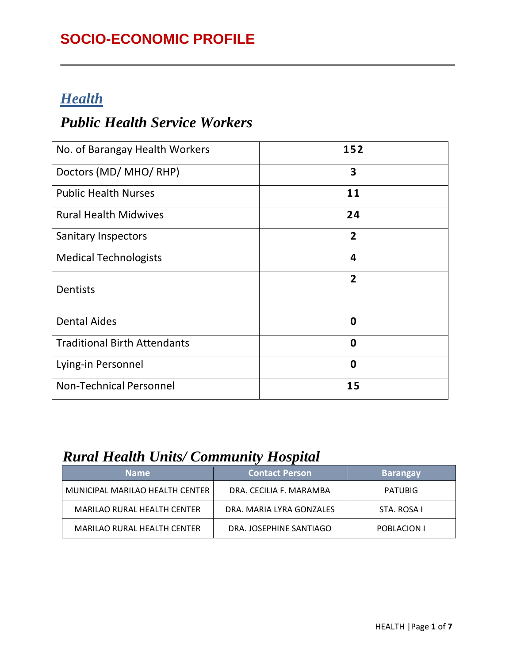## **SOCIO-ECONOMIC PROFILE**

### *Health*

#### *Public Health Service Workers*

| No. of Barangay Health Workers      | 152                     |
|-------------------------------------|-------------------------|
| Doctors (MD/ MHO/ RHP)              | 3                       |
| <b>Public Health Nurses</b>         | 11                      |
| <b>Rural Health Midwives</b>        | 24                      |
| <b>Sanitary Inspectors</b>          | $\overline{2}$          |
| <b>Medical Technologists</b>        | $\overline{\mathbf{4}}$ |
| <b>Dentists</b>                     | $\overline{2}$          |
| <b>Dental Aides</b>                 | $\mathbf 0$             |
| <b>Traditional Birth Attendants</b> | 0                       |
| Lying-in Personnel                  | $\mathbf 0$             |
| <b>Non-Technical Personnel</b>      | 15                      |

#### *Rural Health Units/ Community Hospital*

| <b>Name</b>                        | <b>Contact Person</b>    | <b>Barangay</b> |
|------------------------------------|--------------------------|-----------------|
| MUNICIPAL MARILAO HEALTH CENTER    | DRA. CECILIA F. MARAMBA  | <b>PATUBIG</b>  |
| <b>MARILAO RURAL HEALTH CENTER</b> | DRA. MARIA LYRA GONZALES | STA. ROSA I     |
| <b>MARILAO RURAL HEALTH CENTER</b> | DRA. JOSEPHINE SANTIAGO  | POBLACION I     |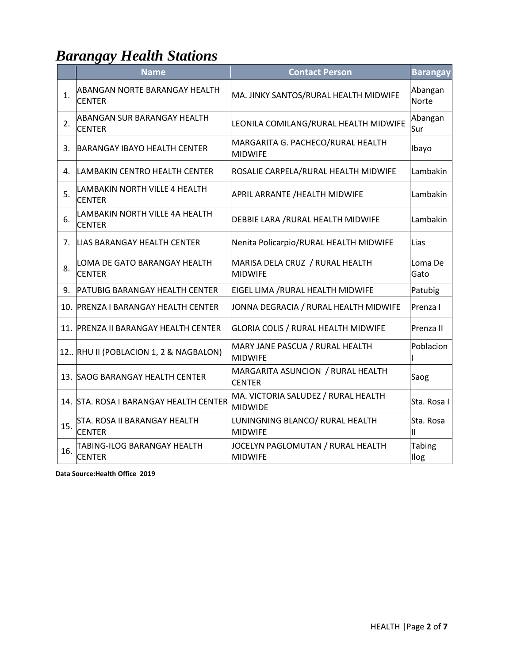# *Barangay Health Stations*

|     | <b>Name</b>                                         | <b>Contact Person</b>                                 | <b>Barangay</b>         |
|-----|-----------------------------------------------------|-------------------------------------------------------|-------------------------|
| 1.  | ABANGAN NORTE BARANGAY HEALTH<br><b>CENTER</b>      | MA. JINKY SANTOS/RURAL HEALTH MIDWIFE                 | Abangan<br><b>Norte</b> |
| 2.  | <b>ABANGAN SUR BARANGAY HEALTH</b><br><b>CENTER</b> | LEONILA COMILANG/RURAL HEALTH MIDWIFE                 | Abangan<br>Sur          |
| 3.  | <b>BARANGAY IBAYO HEALTH CENTER</b>                 | MARGARITA G. PACHECO/RURAL HEALTH<br><b>MIDWIFE</b>   | Ibayo                   |
| 4.  | LAMBAKIN CENTRO HEALTH CENTER                       | ROSALIE CARPELA/RURAL HEALTH MIDWIFE                  | Lambakin                |
| 5.  | LAMBAKIN NORTH VILLE 4 HEALTH<br><b>CENTER</b>      | APRIL ARRANTE /HEALTH MIDWIFE                         | Lambakin                |
| 6.  | LAMBAKIN NORTH VILLE 4A HEALTH<br><b>CENTER</b>     | DEBBIE LARA / RURAL HEALTH MIDWIFE                    | Lambakin                |
| 7.  | LIAS BARANGAY HEALTH CENTER                         | Nenita Policarpio/RURAL HEALTH MIDWIFE                | Lias                    |
| 8.  | LOMA DE GATO BARANGAY HEALTH<br><b>CENTER</b>       | MARISA DELA CRUZ / RURAL HEALTH<br><b>MIDWIFE</b>     | Loma De<br>Gato         |
| 9.  | <b>PATUBIG BARANGAY HEALTH CENTER</b>               | EIGEL LIMA / RURAL HEALTH MIDWIFE                     | Patubig                 |
|     | 10. PRENZA I BARANGAY HEALTH CENTER                 | JONNA DEGRACIA / RURAL HEALTH MIDWIFE                 | Prenza I                |
| 11. | <b>PRENZA II BARANGAY HEALTH CENTER</b>             | GLORIA COLIS / RURAL HEALTH MIDWIFE                   | Prenza II               |
|     | 12. RHU II (POBLACION 1, 2 & NAGBALON)              | MARY JANE PASCUA / RURAL HEALTH<br><b>MIDWIFE</b>     | Poblacion               |
|     | 13. SAOG BARANGAY HEALTH CENTER                     | MARGARITA ASUNCION / RURAL HEALTH<br><b>CENTER</b>    | Saog                    |
|     | 14. STA. ROSA I BARANGAY HEALTH CENTER              | MA. VICTORIA SALUDEZ / RURAL HEALTH<br><b>MIDWIDE</b> | Sta. Rosa I             |
| 15. | STA. ROSA II BARANGAY HEALTH<br><b>CENTER</b>       | LUNINGNING BLANCO/ RURAL HEALTH<br><b>MIDWIFE</b>     | Sta. Rosa<br>Ш          |
| 16. | <b>TABING-ILOG BARANGAY HEALTH</b><br><b>CENTER</b> | JOCELYN PAGLOMUTAN / RURAL HEALTH<br><b>MIDWIFE</b>   | <b>Tabing</b><br>Ilog   |

**Data Source:Health Office 2019**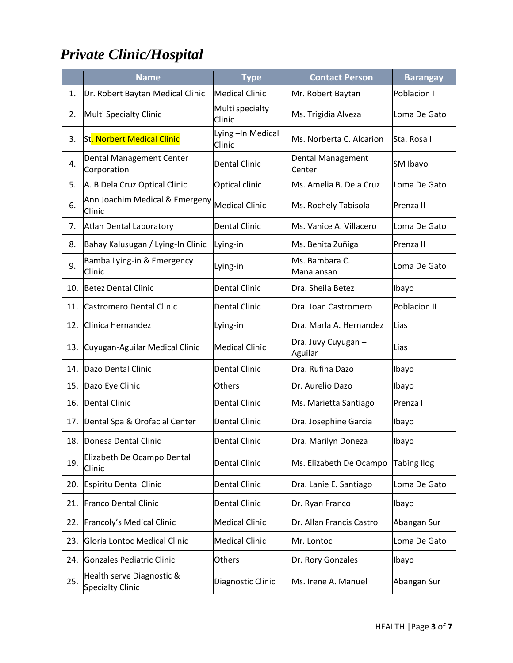# *Private Clinic/Hospital*

|     | <b>Name</b>                                          | <b>Type</b>                | <b>Contact Person</b>          | <b>Barangay</b>    |
|-----|------------------------------------------------------|----------------------------|--------------------------------|--------------------|
| 1.  | Dr. Robert Baytan Medical Clinic                     | <b>Medical Clinic</b>      | Mr. Robert Baytan              | Poblacion I        |
| 2.  | <b>Multi Specialty Clinic</b>                        | Multi specialty<br>Clinic  | Ms. Trigidia Alveza            | Loma De Gato       |
| 3.  | <b>St. Norbert Medical Clinic</b>                    | Lying-In Medical<br>Clinic | Ms. Norberta C. Alcarion       | Sta. Rosa I        |
| 4.  | Dental Management Center<br>Corporation              | <b>Dental Clinic</b>       | Dental Management<br>Center    | SM Ibayo           |
| 5.  | A. B Dela Cruz Optical Clinic                        | Optical clinic             | Ms. Amelia B. Dela Cruz        | Loma De Gato       |
| 6.  | Ann Joachim Medical & Emergeny<br>Clinic             | <b>Medical Clinic</b>      | Ms. Rochely Tabisola           | Prenza II          |
| 7.  | Atlan Dental Laboratory                              | <b>Dental Clinic</b>       | Ms. Vanice A. Villacero        | Loma De Gato       |
| 8.  | Bahay Kalusugan / Lying-In Clinic                    | Lying-in                   | Ms. Benita Zuñiga              | Prenza II          |
| 9.  | Bamba Lying-in & Emergency<br>Clinic                 | Lying-in                   | Ms. Bambara C.<br>Manalansan   | Loma De Gato       |
| 10. | Betez Dental Clinic                                  | <b>Dental Clinic</b>       | Dra. Sheila Betez              | Ibayo              |
| 11. | Castromero Dental Clinic                             | <b>Dental Clinic</b>       | Dra. Joan Castromero           | Poblacion II       |
| 12. | Clinica Hernandez                                    | Lying-in                   | Dra. Marla A. Hernandez        | Lias               |
| 13. | Cuyugan-Aguilar Medical Clinic                       | <b>Medical Clinic</b>      | Dra. Juvy Cuyugan -<br>Aguilar | Lias               |
| 14. | Dazo Dental Clinic                                   | <b>Dental Clinic</b>       | Dra. Rufina Dazo               | Ibayo              |
| 15. | Dazo Eye Clinic                                      | Others                     | Dr. Aurelio Dazo               | Ibayo              |
| 16. | Dental Clinic                                        | Dental Clinic              | Ms. Marietta Santiago          | Prenza I           |
| 17. | Dental Spa & Orofacial Center                        | <b>Dental Clinic</b>       | Dra. Josephine Garcia          | Ibayo              |
| 18. | IDonesa Dental Clinic                                | Dental Clinic              | Dra. Marilyn Doneza            | Ibayo              |
| 19. | Elizabeth De Ocampo Dental<br>Clinic                 | <b>Dental Clinic</b>       | Ms. Elizabeth De Ocampo        | <b>Tabing Ilog</b> |
| 20. | Espiritu Dental Clinic                               | <b>Dental Clinic</b>       | Dra. Lanie E. Santiago         | Loma De Gato       |
| 21. | Franco Dental Clinic                                 | Dental Clinic              | Dr. Ryan Franco                | Ibayo              |
| 22. | Francoly's Medical Clinic                            | <b>Medical Clinic</b>      | Dr. Allan Francis Castro       | Abangan Sur        |
| 23. | Gloria Lontoc Medical Clinic                         | <b>Medical Clinic</b>      | Mr. Lontoc                     | Loma De Gato       |
| 24. | Gonzales Pediatric Clinic                            | Others                     | Dr. Rory Gonzales              | Ibayo              |
| 25. | Health serve Diagnostic &<br><b>Specialty Clinic</b> | Diagnostic Clinic          | Ms. Irene A. Manuel            | Abangan Sur        |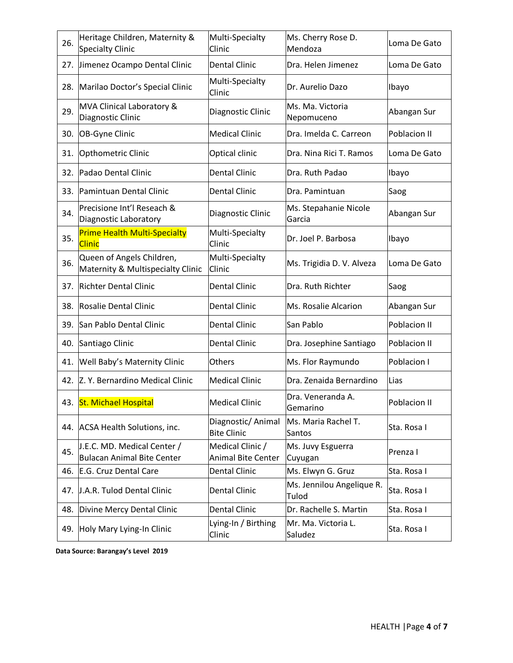| 26. | Heritage Children, Maternity &<br><b>Specialty Clinic</b>        | Multi-Specialty<br>Clinic                     | Ms. Cherry Rose D.<br>Mendoza      | Loma De Gato |
|-----|------------------------------------------------------------------|-----------------------------------------------|------------------------------------|--------------|
| 27. | Jimenez Ocampo Dental Clinic                                     | <b>Dental Clinic</b>                          | Dra. Helen Jimenez                 | Loma De Gato |
| 28. | Marilao Doctor's Special Clinic                                  | Multi-Specialty<br>Clinic                     | Dr. Aurelio Dazo                   | Ibayo        |
| 29. | MVA Clinical Laboratory &<br>Diagnostic Clinic                   | Diagnostic Clinic                             | Ms. Ma. Victoria<br>Nepomuceno     | Abangan Sur  |
| 30. | OB-Gyne Clinic                                                   | <b>Medical Clinic</b>                         | Dra. Imelda C. Carreon             | Poblacion II |
| 31. | Opthometric Clinic                                               | Optical clinic                                | Dra. Nina Rici T. Ramos            | Loma De Gato |
| 32. | Padao Dental Clinic                                              | <b>Dental Clinic</b>                          | Dra. Ruth Padao                    | Ibayo        |
| 33. | Pamintuan Dental Clinic                                          | <b>Dental Clinic</b>                          | Dra. Pamintuan                     | Saog         |
| 34. | Precisione Int'l Reseach &<br>Diagnostic Laboratory              | Diagnostic Clinic                             | Ms. Stepahanie Nicole<br>Garcia    | Abangan Sur  |
| 35. | <b>Prime Health Multi-Specialty</b><br><b>Clinic</b>             | Multi-Specialty<br>Clinic                     | Dr. Joel P. Barbosa                | Ibayo        |
| 36. | Queen of Angels Children,<br>Maternity & Multispecialty Clinic   | Multi-Specialty<br>Clinic                     | Ms. Trigidia D. V. Alveza          | Loma De Gato |
| 37. | <b>Richter Dental Clinic</b>                                     | <b>Dental Clinic</b>                          | Dra. Ruth Richter                  | Saog         |
| 38. | Rosalie Dental Clinic                                            | <b>Dental Clinic</b>                          | Ms. Rosalie Alcarion               | Abangan Sur  |
| 39. | San Pablo Dental Clinic                                          | <b>Dental Clinic</b>                          | San Pablo                          | Poblacion II |
| 40. | Santiago Clinic                                                  | <b>Dental Clinic</b>                          | Dra. Josephine Santiago            | Poblacion II |
| 41. | Well Baby's Maternity Clinic                                     | Others                                        | Ms. Flor Raymundo                  | Poblacion I  |
| 42. | Z. Y. Bernardino Medical Clinic                                  | <b>Medical Clinic</b>                         | Dra. Zenaida Bernardino            | Lias         |
| 43. | St. Michael Hospital                                             | Medical Clinic                                | Dra. Veneranda A.<br>Gemarino      | Poblacion II |
| 44. | <b>ACSA Health Solutions, inc.</b>                               | Diagnostic/Animal<br><b>Bite Clinic</b>       | Ms. Maria Rachel T.<br>Santos      | Sta. Rosa I  |
| 45. | J.E.C. MD. Medical Center /<br><b>Bulacan Animal Bite Center</b> | Medical Clinic /<br><b>Animal Bite Center</b> | Ms. Juvy Esguerra<br>Cuyugan       | Prenza I     |
| 46. | E.G. Cruz Dental Care                                            | Dental Clinic                                 | Ms. Elwyn G. Gruz                  | Sta. Rosa I  |
| 47. | J.A.R. Tulod Dental Clinic                                       | <b>Dental Clinic</b>                          | Ms. Jennilou Angelique R.<br>Tulod | Sta. Rosa I  |
| 48. | Divine Mercy Dental Clinic                                       | <b>Dental Clinic</b>                          | Dr. Rachelle S. Martin             | Sta. Rosa I  |
| 49. | Holy Mary Lying-In Clinic                                        | Lying-In / Birthing<br>Clinic                 | Mr. Ma. Victoria L.<br>Saludez     | Sta. Rosa I  |

**Data Source: Barangay's Level 2019**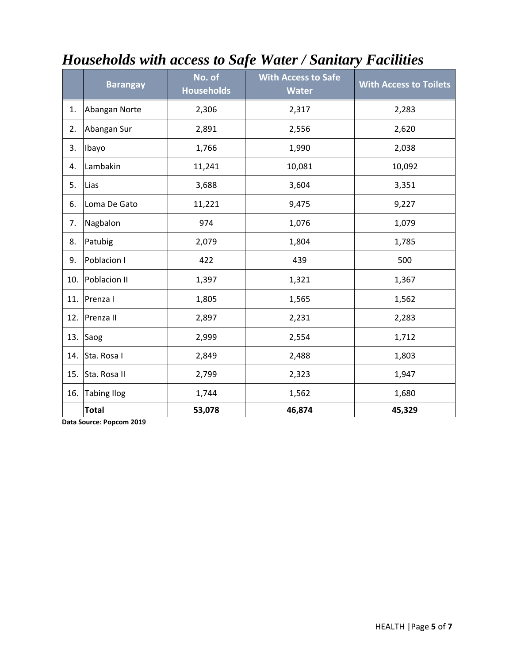|     | <b>Barangay</b>    | No. of<br><b>Households</b> | <b>With Access to Safe</b><br><b>Water</b> | <b>With Access to Toilets</b> |
|-----|--------------------|-----------------------------|--------------------------------------------|-------------------------------|
| 1.  | Abangan Norte      | 2,306                       | 2,317                                      | 2,283                         |
| 2.  | Abangan Sur        | 2,891                       | 2,556                                      | 2,620                         |
| 3.  | Ibayo              | 1,766                       | 1,990                                      | 2,038                         |
| 4.  | Lambakin           | 11,241                      | 10,081                                     | 10,092                        |
| 5.  | Lias               | 3,688                       | 3,604                                      | 3,351                         |
| 6.  | Loma De Gato       | 11,221                      | 9,475                                      | 9,227                         |
| 7.  | Nagbalon           | 974                         | 1,076                                      | 1,079                         |
| 8.  | Patubig            | 2,079                       | 1,804                                      | 1,785                         |
| 9.  | Poblacion I        | 422                         | 439                                        | 500                           |
| 10. | Poblacion II       | 1,397                       | 1,321                                      | 1,367                         |
| 11. | Prenza I           | 1,805                       | 1,565                                      | 1,562                         |
| 12. | Prenza II          | 2,897                       | 2,231                                      | 2,283                         |
| 13. | Saog               | 2,999                       | 2,554                                      | 1,712                         |
| 14. | Sta. Rosa I        | 2,849                       | 2,488                                      | 1,803                         |
| 15. | Sta. Rosa II       | 2,799                       | 2,323                                      | 1,947                         |
| 16. | <b>Tabing Ilog</b> | 1,744                       | 1,562                                      | 1,680                         |
|     | <b>Total</b>       | 53,078                      | 46,874                                     | 45,329                        |

# *Households with access to Safe Water / Sanitary Facilities*

**Data Source: Popcom 2019**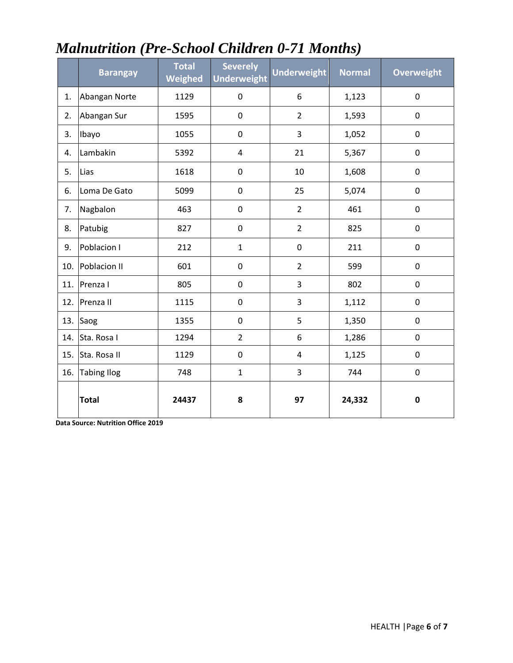|     | <b>Barangay</b>    | <b>Total</b><br>Weighed | <b>Severely</b><br><b>Underweight</b> | <b>Underweight</b> | <b>Normal</b> | <b>Overweight</b> |
|-----|--------------------|-------------------------|---------------------------------------|--------------------|---------------|-------------------|
| 1.  | Abangan Norte      | 1129                    | $\pmb{0}$                             | 6                  | 1,123         | $\pmb{0}$         |
| 2.  | Abangan Sur        | 1595                    | $\mathbf 0$                           | $\overline{2}$     | 1,593         | 0                 |
| 3.  | Ibayo              | 1055                    | $\pmb{0}$                             | 3                  | 1,052         | 0                 |
| 4.  | Lambakin           | 5392                    | $\overline{4}$                        | 21                 | 5,367         | $\pmb{0}$         |
| 5.  | Lias               | 1618                    | $\pmb{0}$                             | 10                 | 1,608         | 0                 |
| 6.  | Loma De Gato       | 5099                    | $\pmb{0}$                             | 25                 | 5,074         | 0                 |
| 7.  | Nagbalon           | 463                     | $\pmb{0}$                             | $\overline{2}$     | 461           | 0                 |
| 8.  | Patubig            | 827                     | $\mathbf 0$                           | $\overline{2}$     | 825           | 0                 |
| 9.  | Poblacion I        | 212                     | $\mathbf{1}$                          | 0                  | 211           | 0                 |
| 10. | Poblacion II       | 601                     | $\mathbf 0$                           | $\overline{2}$     | 599           | 0                 |
| 11. | Prenza I           | 805                     | $\pmb{0}$                             | 3                  | 802           | 0                 |
| 12. | Prenza II          | 1115                    | $\mathbf 0$                           | 3                  | 1,112         | 0                 |
| 13. | Saog               | 1355                    | $\mathbf 0$                           | 5                  | 1,350         | 0                 |
| 14. | Sta. Rosa I        | 1294                    | $\overline{2}$                        | 6                  | 1,286         | 0                 |
| 15. | Sta. Rosa II       | 1129                    | $\pmb{0}$                             | 4                  | 1,125         | 0                 |
| 16. | <b>Tabing Ilog</b> | 748                     | $\mathbf{1}$                          | 3                  | 744           | $\pmb{0}$         |
|     | <b>Total</b>       | 24437                   | 8                                     | 97                 | 24,332        | $\pmb{0}$         |

## *Malnutrition (Pre-School Children 0-71 Months)*

**Data Source: Nutrition Office 2019**